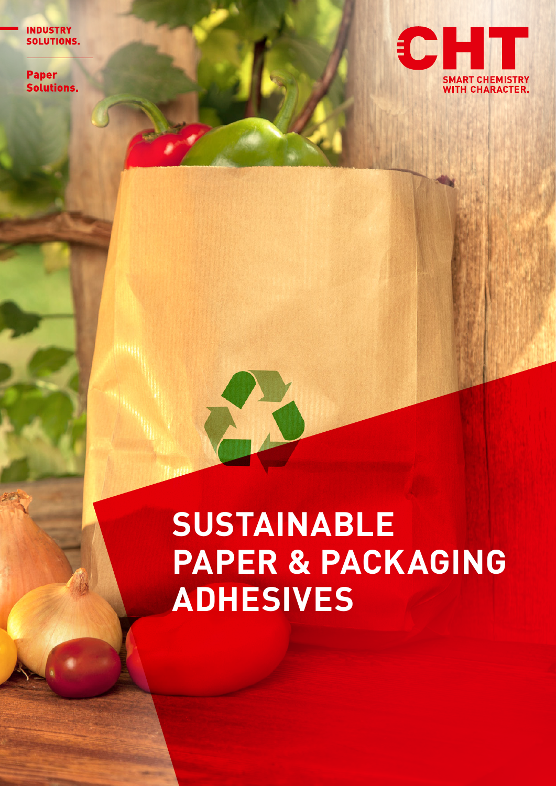**INDUSTRY** SOLUTIONS.

**Paper Solutions.** 



## **SUSTAINABLE PAPER & PACKAGING ADHESIVES**